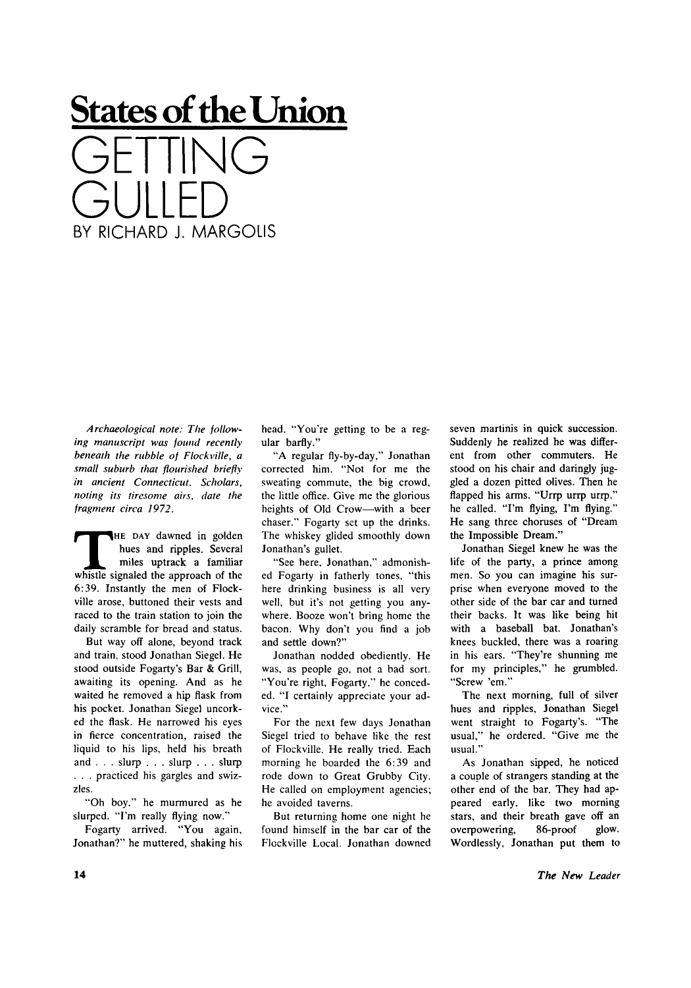## **States of the Union**  GETTING GULLED BY RICHARD J. MARGOLIS

*Archaeological note: The following manuscript was found recently beneath the rubble of Flockville, a small suburb that flourished briefly in ancient Connecticut. Scholars, noting its tiresome airs, date the fragment circa 1972.* 

THE DAY dawned in golden<br>hues and ripples. Several<br>miles uptrack a familiar<br>whistle signaled the approach of the HE DAY dawned in golden hues and ripples. Several miles uptrack a familiar 6:39. Instantly the men of Flockville arose, buttoned their vests and raced to the train station to join the daily scramble for bread and status.

But way off alone, beyond track and train, stood Jonathan Siegel. He stood outside Fogarty's Bar & Grill, awaiting its opening. And as he waited he removed a hip flask from his pocket. Jonathan Siegel uncorked the flask. He narrowed his eyes in fierce concentration, raised the liquid to his lips, held his breath and . . . slurp . . . slurp . . . slurp . . . practiced his gargles and swizzles.

"Oh boy." he murmured as he slurped. "I'm really flying now."

Fogarty arrived. "You again, Jonathan?" he muttered, shaking his head. "You're getting to be a regular barfly."

"A regular fly-by-day," Jonathan corrected him. "Not for me the sweating commute, the big crowd, the little office. Give me the glorious heights of Old Crow—with a beer chaser." Fogarty set up the drinks. The whiskey glided smoothly down Jonathan's gullet.

"See here. Jonathan," admonished Fogarty in fatherly tones, "this here drinking business is all very well, but it's not getting you anywhere. Booze won't bring home the bacon. Why don't you find a job and settle down?"

Jonathan nodded obediently. He was, as people go, not a bad sort. "You're right, Fogarty," he conceded. "I certainly appreciate your advice."

For the next few days Jonathan Siegel tried to behave like the rest of Flockville. He really tried. Each morning he boarded the 6:39 and rode down to Great Grubby City. He called on employment agencies; he avoided taverns.

But returning home one night he found himself in the bar car of the Flockville Local. Jonathan downed seven martinis in quick succession. Suddenly he realized he was different from other commuters. He stood on his chair and daringly juggled a dozen pitted olives. Then he flapped his arms. "Urrp urrp urrp," he called. "I'm flying, I'm flying." He sang three choruses of "Dream the Impossible Dream."

Jonathan Siegel knew he was the life of the party, a prince among men. So you can imagine his surprise when everyone moved to the other side of the bar car and turned their backs. It was like being hit with a baseball bat. Jonathan's knees buckled, there was a roaring in his ears. "They're shunning me for my principles," he grumbled. "Screw 'em."

The next morning, full of silver hues and ripples, Jonathan Siegel went straight to Fogarty's. "The usual," he ordered. "Give me the usual."

As Jonathan sipped, he noticed a couple of strangers standing at the other end of the bar. They had appeared early, like two morning stars, and their breath gave off an overpowering, 86-proof glow. Wordlessly, Jonathan put them to